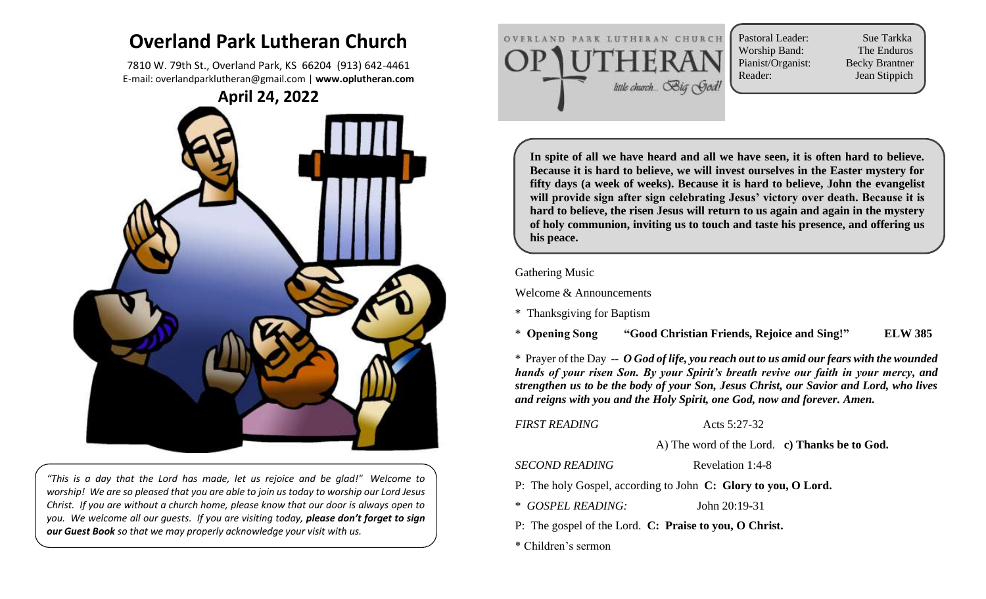# **Overland Park Lutheran Church**

7810 W. 79th St., Overland Park, KS 66204 (913) 642-4461 E-mail: overlandparklutheran@gmail.com | **www.oplutheran.com**



 $\sum_{i=1}^{n}$ *"This is a day that the Lord has made, let us rejoice and be glad!" Welcome to worship! We are so pleased that you are able to join us today to worship our Lord Jesus Christ. If you are without a church home, please know that our door is always open to you. We welcome all our guests. If you are visiting today, please don't forget to sign our Guest Book so that we may properly acknowledge your visit with us.*



Pastoral Leader: Sue Tarkka Worship Band: The Enduros Pianist/Organist: Becky Brantner Reader: Jean Stippich

**In spite of all we have heard and all we have seen, it is often hard to believe. Because it is hard to believe, we will invest ourselves in the Easter mystery for fifty days (a week of weeks). Because it is hard to believe, John the evangelist will provide sign after sign celebrating Jesus' victory over death. Because it is hard to believe, the risen Jesus will return to us again and again in the mystery of holy communion, inviting us to touch and taste his presence, and offering us his peace.**

#### Gathering Music

Welcome & Announcements

\* Thanksgiving for Baptism

\* **Opening Song "Good Christian Friends, Rejoice and Sing!" ELW 385** 

\* Prayer of the Day -- *O God of life, you reach out to us amid our fears with the wounded hands of your risen Son. By your Spirit's breath revive our faith in your mercy, and strengthen us to be the body of your Son, Jesus Christ, our Savior and Lord, who lives and reigns with you and the Holy Spirit, one God, now and forever. Amen.*

**FIRST READING** Acts 5:27-32

A) The word of the Lord. **c) Thanks be to God.**

*SECOND READING* Revelation 1:4-8

P: The holy Gospel, according to John **C: Glory to you, O Lord.**

\* *GOSPEL READING:* John 20:19-31

P: The gospel of the Lord. **C: Praise to you, O Christ.**

\* Children's sermon